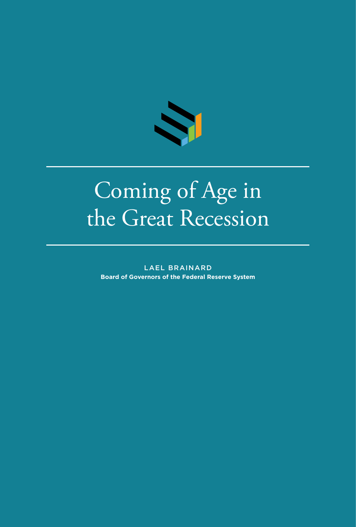

# Coming of Age in the Great Recession

LAEL BRAINARD **Board of Governors of the Federal Reserve System**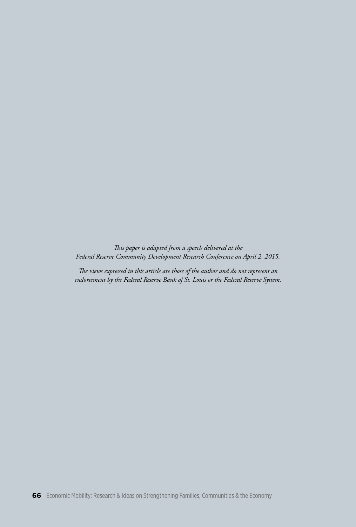*This paper is adapted from a speech delivered at the Federal Reserve Community Development Research Conference on April 2, 2015.*

*The views expressed in this article are those of the author and do not represent an endorsement by the Federal Reserve Bank of St. Louis or the Federal Reserve System.*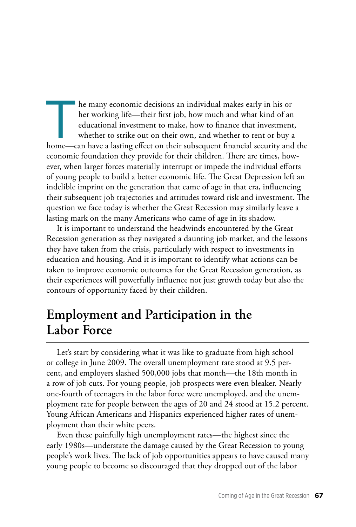The many economic decisions an individual makes early in his or<br>her working life—their first job, how much and what kind of an<br>educational investment to make, how to finance that investment<br>whether to strike out on their o her working life—their first job, how much and what kind of an educational investment to make, how to finance that investment, whether to strike out on their own, and whether to rent or buy a home—can have a lasting effect on their subsequent financial security and the economic foundation they provide for their children. There are times, however, when larger forces materially interrupt or impede the individual efforts of young people to build a better economic life. The Great Depression left an indelible imprint on the generation that came of age in that era, influencing their subsequent job trajectories and attitudes toward risk and investment. The question we face today is whether the Great Recession may similarly leave a lasting mark on the many Americans who came of age in its shadow.

It is important to understand the headwinds encountered by the Great Recession generation as they navigated a daunting job market, and the lessons they have taken from the crisis, particularly with respect to investments in education and housing. And it is important to identify what actions can be taken to improve economic outcomes for the Great Recession generation, as their experiences will powerfully influence not just growth today but also the contours of opportunity faced by their children.

#### **Employment and Participation in the Labor Force**

Let's start by considering what it was like to graduate from high school or college in June 2009. The overall unemployment rate stood at 9.5 percent, and employers slashed 500,000 jobs that month—the 18th month in a row of job cuts. For young people, job prospects were even bleaker. Nearly one-fourth of teenagers in the labor force were unemployed, and the unemployment rate for people between the ages of 20 and 24 stood at 15.2 percent. Young African Americans and Hispanics experienced higher rates of unemployment than their white peers.

Even these painfully high unemployment rates—the highest since the early 1980s—understate the damage caused by the Great Recession to young people's work lives. The lack of job opportunities appears to have caused many young people to become so discouraged that they dropped out of the labor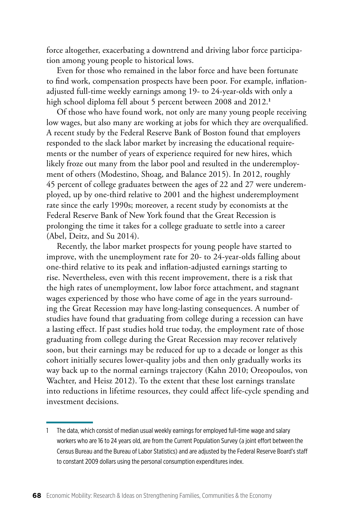force altogether, exacerbating a downtrend and driving labor force participation among young people to historical lows.

Even for those who remained in the labor force and have been fortunate to find work, compensation prospects have been poor. For example, inflationadjusted full-time weekly earnings among 19- to 24-year-olds with only a high school diploma fell about 5 percent between 2008 and 2012.**<sup>1</sup>**

Of those who have found work, not only are many young people receiving low wages, but also many are working at jobs for which they are overqualified. A recent study by the Federal Reserve Bank of Boston found that employers responded to the slack labor market by increasing the educational requirements or the number of years of experience required for new hires, which likely froze out many from the labor pool and resulted in the underemployment of others (Modestino, Shoag, and Balance 2015). In 2012, roughly 45 percent of college graduates between the ages of 22 and 27 were underemployed, up by one-third relative to 2001 and the highest underemployment rate since the early 1990s; moreover, a recent study by economists at the Federal Reserve Bank of New York found that the Great Recession is prolonging the time it takes for a college graduate to settle into a career (Abel, Deitz, and Su 2014).

Recently, the labor market prospects for young people have started to improve, with the unemployment rate for 20- to 24-year-olds falling about one-third relative to its peak and inflation-adjusted earnings starting to rise. Nevertheless, even with this recent improvement, there is a risk that the high rates of unemployment, low labor force attachment, and stagnant wages experienced by those who have come of age in the years surrounding the Great Recession may have long-lasting consequences. A number of studies have found that graduating from college during a recession can have a lasting effect. If past studies hold true today, the employment rate of those graduating from college during the Great Recession may recover relatively soon, but their earnings may be reduced for up to a decade or longer as this cohort initially secures lower-quality jobs and then only gradually works its way back up to the normal earnings trajectory (Kahn 2010; Oreopoulos, von Wachter, and Heisz 2012). To the extent that these lost earnings translate into reductions in lifetime resources, they could affect life-cycle spending and investment decisions.

<sup>1</sup> The data, which consist of median usual weekly earnings for employed full-time wage and salary workers who are 16 to 24 years old, are from the Current Population Survey (a joint effort between the Census Bureau and the Bureau of Labor Statistics) and are adjusted by the Federal Reserve Board's staff to constant 2009 dollars using the personal consumption expenditures index.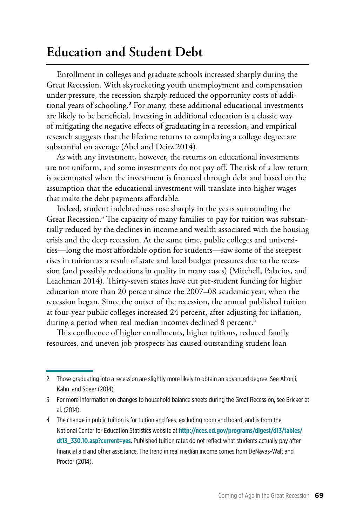## **Education and Student Debt**

Enrollment in colleges and graduate schools increased sharply during the Great Recession. With skyrocketing youth unemployment and compensation under pressure, the recession sharply reduced the opportunity costs of additional years of schooling.**<sup>2</sup>** For many, these additional educational investments are likely to be beneficial. Investing in additional education is a classic way of mitigating the negative effects of graduating in a recession, and empirical research suggests that the lifetime returns to completing a college degree are substantial on average (Abel and Deitz 2014).

As with any investment, however, the returns on educational investments are not uniform, and some investments do not pay off. The risk of a low return is accentuated when the investment is financed through debt and based on the assumption that the educational investment will translate into higher wages that make the debt payments affordable.

Indeed, student indebtedness rose sharply in the years surrounding the Great Recession.**<sup>3</sup>** The capacity of many families to pay for tuition was substantially reduced by the declines in income and wealth associated with the housing crisis and the deep recession. At the same time, public colleges and universities—long the most affordable option for students—saw some of the steepest rises in tuition as a result of state and local budget pressures due to the recession (and possibly reductions in quality in many cases) (Mitchell, Palacios, and Leachman 2014). Thirty-seven states have cut per-student funding for higher education more than 20 percent since the 2007–08 academic year, when the recession began. Since the outset of the recession, the annual published tuition at four-year public colleges increased 24 percent, after adjusting for inflation, during a period when real median incomes declined 8 percent.**<sup>4</sup>**

This confluence of higher enrollments, higher tuitions, reduced family resources, and uneven job prospects has caused outstanding student loan

<sup>2</sup> Those graduating into a recession are slightly more likely to obtain an advanced degree. See Altonji, Kahn, and Speer (2014).

<sup>3</sup> For more information on changes to household balance sheets during the Great Recession, see Bricker et al. (2014).

<sup>4</sup> The change in public tuition is for tuition and fees, excluding room and board, and is from the National Center for Education Statistics website at **http://nces.ed.gov/programs/digest/d13/tables/ dt13\_330.10.asp?current=yes**[. Published tuition rates do not reflect what students actually pay after](http://nces.ed.gov/programs/digest/d13/tables/dt13_330.10.asp?current=yes)  financial aid and other assistance. The trend in real median income comes from DeNavas-Walt and Proctor (2014).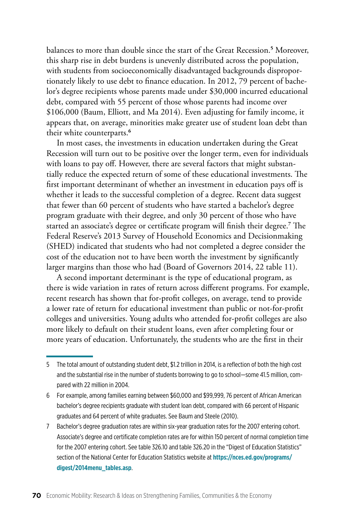balances to more than double since the start of the Great Recession.**<sup>5</sup>** Moreover, this sharp rise in debt burdens is unevenly distributed across the population, with students from socioeconomically disadvantaged backgrounds disproportionately likely to use debt to finance education. In 2012, 79 percent of bachelor's degree recipients whose parents made under \$30,000 incurred educational debt, compared with 55 percent of those whose parents had income over \$106,000 (Baum, Elliott, and Ma 2014). Even adjusting for family income, it appears that, on average, minorities make greater use of student loan debt than their white counterparts.**<sup>6</sup>**

In most cases, the investments in education undertaken during the Great Recession will turn out to be positive over the longer term, even for individuals with loans to pay off. However, there are several factors that might substantially reduce the expected return of some of these educational investments. The first important determinant of whether an investment in education pays off is whether it leads to the successful completion of a degree. Recent data suggest that fewer than 60 percent of students who have started a bachelor's degree program graduate with their degree, and only 30 percent of those who have started an associate's degree or certificate program will finish their degree.**<sup>7</sup>** The Federal Reserve's 2013 Survey of Household Economics and Decisionmaking (SHED) indicated that students who had not completed a degree consider the cost of the education not to have been worth the investment by significantly larger margins than those who had (Board of Governors 2014, 22 table 11).

A second important determinant is the type of educational program, as there is wide variation in rates of return across different programs. For example, recent research has shown that for-profit colleges, on average, tend to provide a lower rate of return for educational investment than public or not-for-profit colleges and universities. Young adults who attended for-profit colleges are also more likely to default on their student loans, even after completing four or more years of education. Unfortunately, the students who are the first in their

<sup>5</sup> The total amount of outstanding student debt, \$1.2 trillion in 2014, is a reflection of both the high cost and the substantial rise in the number of students borrowing to go to school—some 41.5 million, compared with 22 million in 2004.

<sup>6</sup> For example, among families earning between \$60,000 and \$99,999, 76 percent of African American bachelor's degree recipients graduate with student loan debt, compared with 66 percent of Hispanic graduates and 64 percent of white graduates. See Baum and Steele (2010).

<sup>7</sup> Bachelor's degree graduation rates are within six-year graduation rates for the 2007 entering cohort. Associate's degree and certificate completion rates are for within 150 percent of normal completion time for the 2007 entering cohort. See table 326.10 and table 326.20 in the "Digest of Education Statistics" [section of the National Center for Education Statistics website at](https://nces.ed.gov/programs/digest/2014menu_tables.asp) **https://nces.ed.gov/programs/ digest/2014menu\_tables.asp**.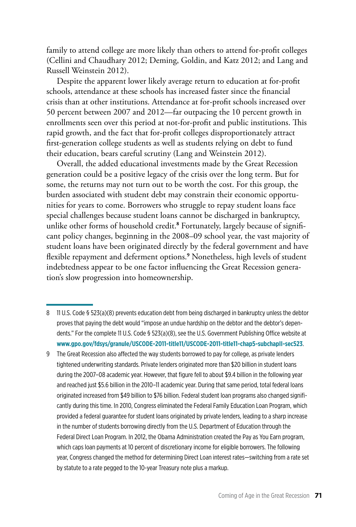family to attend college are more likely than others to attend for-profit colleges (Cellini and Chaudhary 2012; Deming, Goldin, and Katz 2012; and Lang and Russell Weinstein 2012).

Despite the apparent lower likely average return to education at for-profit schools, attendance at these schools has increased faster since the financial crisis than at other institutions. Attendance at for-profit schools increased over 50 percent between 2007 and 2012—far outpacing the 10 percent growth in enrollments seen over this period at not-for-profit and public institutions. This rapid growth, and the fact that for-profit colleges disproportionately attract first-generation college students as well as students relying on debt to fund their education, bears careful scrutiny (Lang and Weinstein 2012).

Overall, the added educational investments made by the Great Recession generation could be a positive legacy of the crisis over the long term. But for some, the returns may not turn out to be worth the cost. For this group, the burden associated with student debt may constrain their economic opportunities for years to come. Borrowers who struggle to repay student loans face special challenges because student loans cannot be discharged in bankruptcy, unlike other forms of household credit.**<sup>8</sup>** Fortunately, largely because of significant policy changes, beginning in the 2008–09 school year, the vast majority of student loans have been originated directly by the federal government and have flexible repayment and deferment options.**<sup>9</sup>** Nonetheless, high levels of student indebtedness appear to be one factor influencing the Great Recession generation's slow progression into homeownership.

- 8 11 U.S. Code § 523(a)(8) prevents education debt from being discharged in bankruptcy unless the debtor proves that paying the debt would "impose an undue hardship on the debtor and the debtor's dependents." For the complete 11 U.S. Code § 523(a)(8), see the U.S. Government Publishing Office website at **[www.gpo.gov/fdsys/granule/USCODE-2011-title11/USCODE-2011-title11-chap5-subchapII-sec523](http://www.gpo.gov/fdsys/granule/USCODE-2011-title11/USCODE-2011-title11-chap5-subchapII-sec523)**.
- 9 The Great Recession also affected the way students borrowed to pay for college, as private lenders tightened underwriting standards. Private lenders originated more than \$20 billion in student loans during the 2007–08 academic year. However, that figure fell to about \$9.4 billion in the following year and reached just \$5.6 billion in the 2010–11 academic year. During that same period, total federal loans originated increased from \$49 billion to \$76 billion. Federal student loan programs also changed significantly during this time. In 2010, Congress eliminated the Federal Family Education Loan Program, which provided a federal guarantee for student loans originated by private lenders, leading to a sharp increase in the number of students borrowing directly from the U.S. Department of Education through the Federal Direct Loan Program. In 2012, the Obama Administration created the Pay as You Earn program, which caps loan payments at 10 percent of discretionary income for eligible borrowers. The following year, Congress changed the method for determining Direct Loan interest rates—switching from a rate set by statute to a rate pegged to the 10-year Treasury note plus a markup.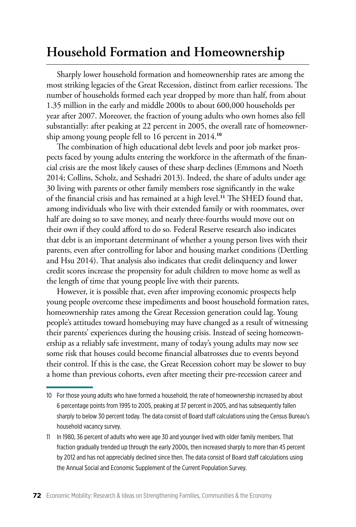## **Household Formation and Homeownership**

Sharply lower household formation and homeownership rates are among the most striking legacies of the Great Recession, distinct from earlier recessions. The number of households formed each year dropped by more than half, from about 1.35 million in the early and middle 2000s to about 600,000 households per year after 2007. Moreover, the fraction of young adults who own homes also fell substantially: after peaking at 22 percent in 2005, the overall rate of homeownership among young people fell to 16 percent in 2014.**<sup>10</sup>**

The combination of high educational debt levels and poor job market prospects faced by young adults entering the workforce in the aftermath of the financial crisis are the most likely causes of these sharp declines (Emmons and Noeth 2014; Collins, Scholz, and Seshadri 2013). Indeed, the share of adults under age 30 living with parents or other family members rose significantly in the wake of the financial crisis and has remained at a high level.**<sup>11</sup>** The SHED found that, among individuals who live with their extended family or with roommates, over half are doing so to save money, and nearly three-fourths would move out on their own if they could afford to do so. Federal Reserve research also indicates that debt is an important determinant of whether a young person lives with their parents, even after controlling for labor and housing market conditions (Dettling and Hsu 2014). That analysis also indicates that credit delinquency and lower credit scores increase the propensity for adult children to move home as well as the length of time that young people live with their parents.

However, it is possible that, even after improving economic prospects help young people overcome these impediments and boost household formation rates, homeownership rates among the Great Recession generation could lag. Young people's attitudes toward homebuying may have changed as a result of witnessing their parents' experiences during the housing crisis. Instead of seeing homeownership as a reliably safe investment, many of today's young adults may now see some risk that houses could become financial albatrosses due to events beyond their control. If this is the case, the Great Recession cohort may be slower to buy a home than previous cohorts, even after meeting their pre-recession career and

<sup>10</sup> For those young adults who have formed a household, the rate of homeownership increased by about 6 percentage points from 1995 to 2005, peaking at 37 percent in 2005, and has subsequently fallen sharply to below 30 percent today. The data consist of Board staff calculations using the Census Bureau's household vacancy survey.

<sup>11</sup> In 1980, 36 percent of adults who were age 30 and younger lived with older family members. That fraction gradually trended up through the early 2000s, then increased sharply to more than 45 percent by 2012 and has not appreciably declined since then. The data consist of Board staff calculations using the Annual Social and Economic Supplement of the Current Population Survey.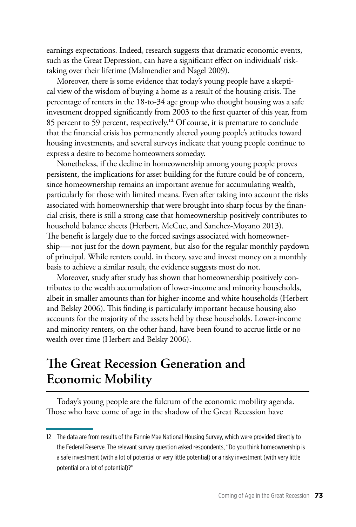earnings expectations. Indeed, research suggests that dramatic economic events, such as the Great Depression, can have a significant effect on individuals' risktaking over their lifetime (Malmendier and Nagel 2009).

Moreover, there is some evidence that today's young people have a skeptical view of the wisdom of buying a home as a result of the housing crisis. The percentage of renters in the 18-to-34 age group who thought housing was a safe investment dropped significantly from 2003 to the first quarter of this year, from 85 percent to 59 percent, respectively.**<sup>12</sup>** Of course, it is premature to conclude that the financial crisis has permanently altered young people's attitudes toward housing investments, and several surveys indicate that young people continue to express a desire to become homeowners someday.

Nonetheless, if the decline in homeownership among young people proves persistent, the implications for asset building for the future could be of concern, since homeownership remains an important avenue for accumulating wealth, particularly for those with limited means. Even after taking into account the risks associated with homeownership that were brought into sharp focus by the financial crisis, there is still a strong case that homeownership positively contributes to household balance sheets (Herbert, McCue, and Sanchez-Moyano 2013). The benefit is largely due to the forced savings associated with homeownership-—not just for the down payment, but also for the regular monthly paydown of principal. While renters could, in theory, save and invest money on a monthly basis to achieve a similar result, the evidence suggests most do not.

Moreover, study after study has shown that homeownership positively contributes to the wealth accumulation of lower-income and minority households, albeit in smaller amounts than for higher-income and white households (Herbert and Belsky 2006). This finding is particularly important because housing also accounts for the majority of the assets held by these households. Lower-income and minority renters, on the other hand, have been found to accrue little or no wealth over time (Herbert and Belsky 2006).

## **The Great Recession Generation and Economic Mobility**

Today's young people are the fulcrum of the economic mobility agenda. Those who have come of age in the shadow of the Great Recession have

<sup>12</sup> The data are from results of the Fannie Mae National Housing Survey, which were provided directly to the Federal Reserve. The relevant survey question asked respondents, "Do you think homeownership is a safe investment (with a lot of potential or very little potential) or a risky investment (with very little potential or a lot of potential)?"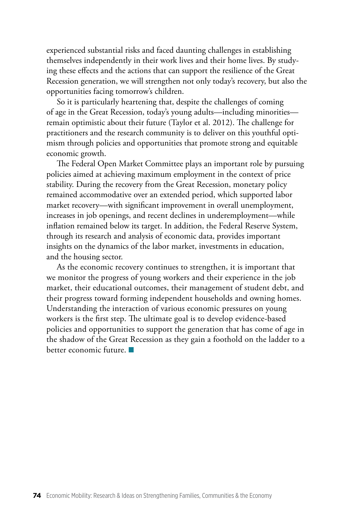experienced substantial risks and faced daunting challenges in establishing themselves independently in their work lives and their home lives. By studying these effects and the actions that can support the resilience of the Great Recession generation, we will strengthen not only today's recovery, but also the opportunities facing tomorrow's children.

So it is particularly heartening that, despite the challenges of coming of age in the Great Recession, today's young adults—including minorities remain optimistic about their future (Taylor et al. 2012). The challenge for practitioners and the research community is to deliver on this youthful optimism through policies and opportunities that promote strong and equitable economic growth.

The Federal Open Market Committee plays an important role by pursuing policies aimed at achieving maximum employment in the context of price stability. During the recovery from the Great Recession, monetary policy remained accommodative over an extended period, which supported labor market recovery—with significant improvement in overall unemployment, increases in job openings, and recent declines in underemployment—while inflation remained below its target. In addition, the Federal Reserve System, through its research and analysis of economic data, provides important insights on the dynamics of the labor market, investments in education, and the housing sector.

As the economic recovery continues to strengthen, it is important that we monitor the progress of young workers and their experience in the job market, their educational outcomes, their management of student debt, and their progress toward forming independent households and owning homes. Understanding the interaction of various economic pressures on young workers is the first step. The ultimate goal is to develop evidence-based policies and opportunities to support the generation that has come of age in the shadow of the Great Recession as they gain a foothold on the ladder to a better economic future.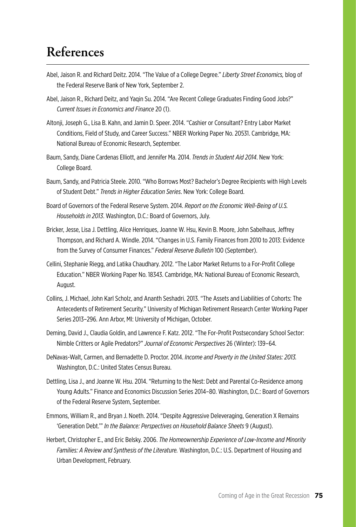## **References**

- Abel, Jaison R. and Richard Deitz. 2014. "The Value of a College Degree." *Liberty Street Economics,* blog of the Federal Reserve Bank of New York, September 2.
- Abel, Jaison R., Richard Deitz, and Yaqin Su. 2014. "Are Recent College Graduates Finding Good Jobs?" *Current Issues in Economics and Finance* 20 (1).
- Altonji, Joseph G., Lisa B. Kahn, and Jamin D. Speer. 2014. "Cashier or Consultant? Entry Labor Market Conditions, Field of Study, and Career Success." NBER Working Paper No. 20531. Cambridge, MA: National Bureau of Economic Research, September.
- Baum, Sandy, Diane Cardenas Elliott, and Jennifer Ma. 2014. *Trends in Student Aid 2014*. New York: College Board.
- Baum, Sandy, and Patricia Steele. 2010. "Who Borrows Most? Bachelor's Degree Recipients with High Levels of Student Debt." *Trends in Higher Education Series*. New York: College Board.
- Board of Governors of the Federal Reserve System. 2014. *Report on the Economic Well-Being of U.S. Households in 2013*. Washington, D.C.: Board of Governors, July.
- Bricker, Jesse, Lisa J. Dettling, Alice Henriques, Joanne W. Hsu, Kevin B. Moore, John Sabelhaus, Jeffrey Thompson, and Richard A. Windle. 2014. "Changes in U.S. Family Finances from 2010 to 2013: Evidence from the Survey of Consumer Finances." *Federal Reserve Bulletin* 100 (September).
- Cellini, Stephanie Riegg, and Latika Chaudhary. 2012. "The Labor Market Returns to a For-Profit College Education." NBER Working Paper No. 18343. Cambridge, MA: National Bureau of Economic Research, August.
- Collins, J. Michael, John Karl Scholz, and Ananth Seshadri. 2013. "The Assets and Liabilities of Cohorts: The Antecedents of Retirement Security." University of Michigan Retirement Research Center Working Paper Series 2013–296. Ann Arbor, MI: University of Michigan, October.
- Deming, David J., Claudia Goldin, and Lawrence F. Katz. 2012. "The For-Profit Postsecondary School Sector: Nimble Critters or Agile Predators?" *Journal of Economic Perspectives* 26 (Winter): 139–64.
- DeNavas-Walt, Carmen, and Bernadette D. Proctor. 2014. *Income and Poverty in the United States: 2013.* Washington, D.C.: United States Census Bureau.
- Dettling, Lisa J., and Joanne W. Hsu. 2014. "Returning to the Nest: Debt and Parental Co-Residence among Young Adults." Finance and Economics Discussion Series 2014–80. Washington, D.C.: Board of Governors of the Federal Reserve System, September.
- Emmons, William R., and Bryan J. Noeth. 2014. "Despite Aggressive Deleveraging, Generation X Remains 'Generation Debt.'" *In the Balance: Perspectives on Household Balance Sheets* 9 (August).
- Herbert, Christopher E., and Eric Belsky. 2006. *The Homeownership Experience of Low-Income and Minority Families: A Review and Synthesis of the Literature.* Washington, D.C.: U.S. Department of Housing and Urban Development, February.